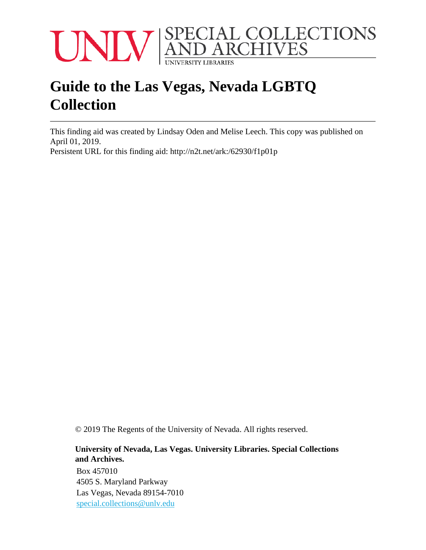

# **Guide to the Las Vegas, Nevada LGBTQ Collection**

This finding aid was created by Lindsay Oden and Melise Leech. This copy was published on April 01, 2019.

Persistent URL for this finding aid: <http://n2t.net/ark:/62930/f1p01p>

© 2019 The Regents of the University of Nevada. All rights reserved.

#### **University of Nevada, Las Vegas. University Libraries. Special Collections and Archives.**

Box 457010 4505 S. Maryland Parkway Las Vegas, Nevada 89154-7010 [special.collections@unlv.edu](mailto:special.collections@unlv.edu)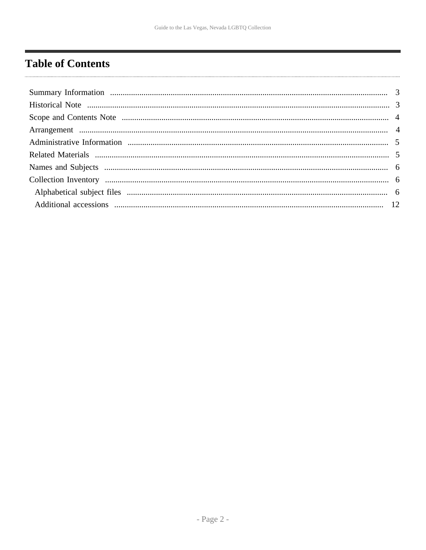## <span id="page-1-0"></span>**Table of Contents**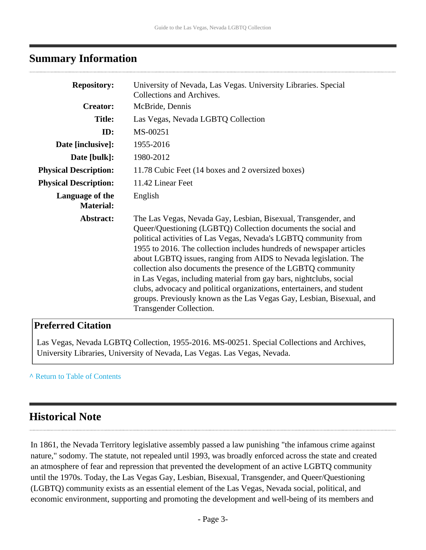#### <span id="page-2-0"></span>**Summary Information**

| <b>Repository:</b>                  | University of Nevada, Las Vegas. University Libraries. Special<br>Collections and Archives.                                                                                                                                                                                                                                                                                                                                                                                                                                                                                                                                                                          |
|-------------------------------------|----------------------------------------------------------------------------------------------------------------------------------------------------------------------------------------------------------------------------------------------------------------------------------------------------------------------------------------------------------------------------------------------------------------------------------------------------------------------------------------------------------------------------------------------------------------------------------------------------------------------------------------------------------------------|
| <b>Creator:</b>                     | McBride, Dennis                                                                                                                                                                                                                                                                                                                                                                                                                                                                                                                                                                                                                                                      |
| <b>Title:</b>                       | Las Vegas, Nevada LGBTQ Collection                                                                                                                                                                                                                                                                                                                                                                                                                                                                                                                                                                                                                                   |
| ID:                                 | MS-00251                                                                                                                                                                                                                                                                                                                                                                                                                                                                                                                                                                                                                                                             |
| Date [inclusive]:                   | 1955-2016                                                                                                                                                                                                                                                                                                                                                                                                                                                                                                                                                                                                                                                            |
| Date [bulk]:                        | 1980-2012                                                                                                                                                                                                                                                                                                                                                                                                                                                                                                                                                                                                                                                            |
| <b>Physical Description:</b>        | 11.78 Cubic Feet (14 boxes and 2 oversized boxes)                                                                                                                                                                                                                                                                                                                                                                                                                                                                                                                                                                                                                    |
| <b>Physical Description:</b>        | 11.42 Linear Feet                                                                                                                                                                                                                                                                                                                                                                                                                                                                                                                                                                                                                                                    |
| Language of the<br><b>Material:</b> | English                                                                                                                                                                                                                                                                                                                                                                                                                                                                                                                                                                                                                                                              |
| Abstract:                           | The Las Vegas, Nevada Gay, Lesbian, Bisexual, Transgender, and<br>Queer/Questioning (LGBTQ) Collection documents the social and<br>political activities of Las Vegas, Nevada's LGBTQ community from<br>1955 to 2016. The collection includes hundreds of newspaper articles<br>about LGBTQ issues, ranging from AIDS to Nevada legislation. The<br>collection also documents the presence of the LGBTQ community<br>in Las Vegas, including material from gay bars, nightclubs, social<br>clubs, advocacy and political organizations, entertainers, and student<br>groups. Previously known as the Las Vegas Gay, Lesbian, Bisexual, and<br>Transgender Collection. |

#### **Preferred Citation**

Las Vegas, Nevada LGBTQ Collection, 1955-2016. MS-00251. Special Collections and Archives, University Libraries, University of Nevada, Las Vegas. Las Vegas, Nevada.

#### **^** [Return to Table of Contents](#page-1-0)

### <span id="page-2-1"></span>**Historical Note**

In 1861, the Nevada Territory legislative assembly passed a law punishing "the infamous crime against nature," sodomy. The statute, not repealed until 1993, was broadly enforced across the state and created an atmosphere of fear and repression that prevented the development of an active LGBTQ community until the 1970s. Today, the Las Vegas Gay, Lesbian, Bisexual, Transgender, and Queer/Questioning (LGBTQ) community exists as an essential element of the Las Vegas, Nevada social, political, and economic environment, supporting and promoting the development and well-being of its members and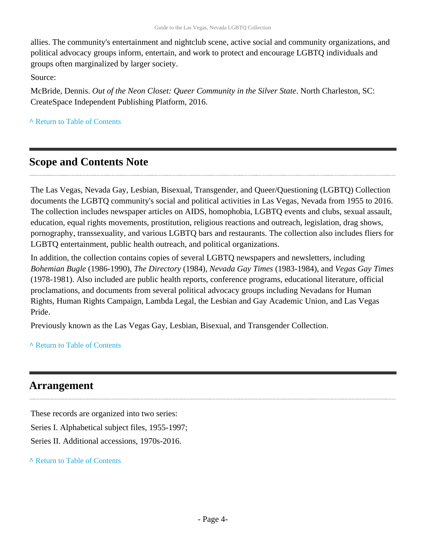allies. The community's entertainment and nightclub scene, active social and community organizations, and political advocacy groups inform, entertain, and work to protect and encourage LGBTQ individuals and groups often marginalized by larger society.

Source:

McBride, Dennis. *Out of the Neon Closet: Queer Community in the Silver State*. North Charleston, SC: CreateSpace Independent Publishing Platform, 2016.

**^** [Return to Table of Contents](#page-1-0)

### <span id="page-3-0"></span>**Scope and Contents Note**

The Las Vegas, Nevada Gay, Lesbian, Bisexual, Transgender, and Queer/Questioning (LGBTQ) Collection documents the LGBTQ community's social and political activities in Las Vegas, Nevada from 1955 to 2016. The collection includes newspaper articles on AIDS, homophobia, LGBTQ events and clubs, sexual assault, education, equal rights movements, prostitution, religious reactions and outreach, legislation, drag shows, pornography, transsexuality, and various LGBTQ bars and restaurants. The collection also includes fliers for LGBTQ entertainment, public health outreach, and political organizations.

In addition, the collection contains copies of several LGBTQ newspapers and newsletters, including *Bohemian Bugle* (1986-1990), *The Directory* (1984), *Nevada Gay Times* (1983-1984), and *Vegas Gay Times* (1978-1981). Also included are public health reports, conference programs, educational literature, official proclamations, and documents from several political advocacy groups including Nevadans for Human Rights, Human Rights Campaign, Lambda Legal, the Lesbian and Gay Academic Union, and Las Vegas Pride.

Previously known as the Las Vegas Gay, Lesbian, Bisexual, and Transgender Collection.

**^** [Return to Table of Contents](#page-1-0)

### <span id="page-3-1"></span>**Arrangement**

These records are organized into two series: Series I. Alphabetical subject files, 1955-1997; Series II. Additional accessions, 1970s-2016.

**^** [Return to Table of Contents](#page-1-0)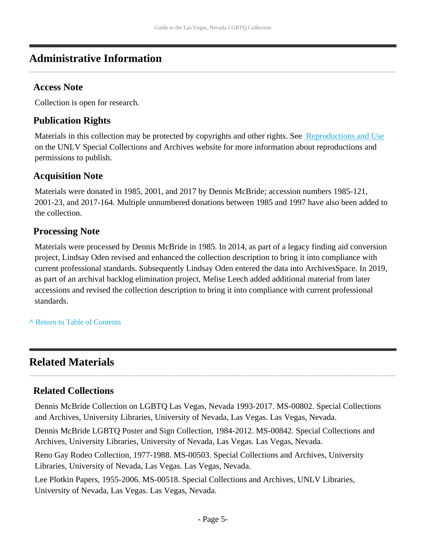## <span id="page-4-0"></span>**Administrative Information**

#### **Access Note**

Collection is open for research.

### **Publication Rights**

Materials in this collection may be protected by copyrights and other rights. See [Reproductions and Use](http://www.library.unlv.edu/speccol/research_and_services/reproductions) on the UNLV Special Collections and Archives website for more information about reproductions and permissions to publish.

#### **Acquisition Note**

Materials were donated in 1985, 2001, and 2017 by Dennis McBride; accession numbers 1985-121, 2001-23, and 2017-164. Multiple unnumbered donations between 1985 and 1997 have also been added to the collection.

### **Processing Note**

Materials were processed by Dennis McBride in 1985. In 2014, as part of a legacy finding aid conversion project, Lindsay Oden revised and enhanced the collection description to bring it into compliance with current professional standards. Subsequently Lindsay Oden entered the data into ArchivesSpace. In 2019, as part of an archival backlog elimination project, Melise Leech added additional material from later accessions and revised the collection description to bring it into compliance with current professional standards.

**^** [Return to Table of Contents](#page-1-0)

## <span id="page-4-1"></span>**Related Materials**

### **Related Collections**

Dennis McBride Collection on LGBTQ Las Vegas, Nevada 1993-2017. MS-00802. Special Collections and Archives, University Libraries, University of Nevada, Las Vegas. Las Vegas, Nevada.

Dennis McBride LGBTQ Poster and Sign Collection, 1984-2012. MS-00842. Special Collections and Archives, University Libraries, University of Nevada, Las Vegas. Las Vegas, Nevada.

Reno Gay Rodeo Collection, 1977-1988. MS-00503. Special Collections and Archives, University Libraries, University of Nevada, Las Vegas. Las Vegas, Nevada.

Lee Plotkin Papers, 1955-2006. MS-00518. Special Collections and Archives, UNLV Libraries, University of Nevada, Las Vegas. Las Vegas, Nevada.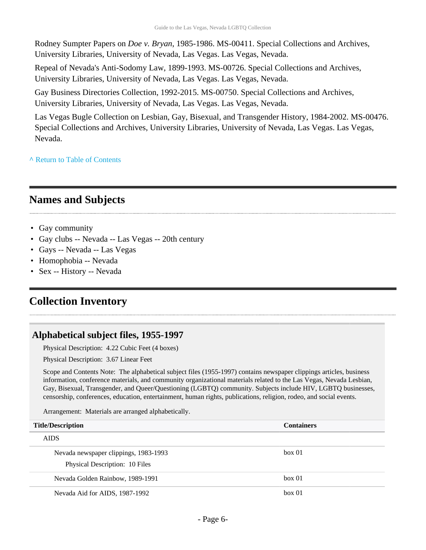Rodney Sumpter Papers on *Doe v. Bryan*, 1985-1986. MS-00411. Special Collections and Archives, University Libraries, University of Nevada, Las Vegas. Las Vegas, Nevada.

Repeal of Nevada's Anti-Sodomy Law, 1899-1993. MS-00726. Special Collections and Archives, University Libraries, University of Nevada, Las Vegas. Las Vegas, Nevada.

Gay Business Directories Collection, 1992-2015. MS-00750. Special Collections and Archives, University Libraries, University of Nevada, Las Vegas. Las Vegas, Nevada.

Las Vegas Bugle Collection on Lesbian, Gay, Bisexual, and Transgender History, 1984-2002. MS-00476. Special Collections and Archives, University Libraries, University of Nevada, Las Vegas. Las Vegas, Nevada.

**^** [Return to Table of Contents](#page-1-0)

## <span id="page-5-0"></span>**Names and Subjects**

- Gay community
- Gay clubs -- Nevada -- Las Vegas -- 20th century
- Gays -- Nevada -- Las Vegas
- Homophobia -- Nevada
- Sex -- History -- Nevada

## <span id="page-5-1"></span>**Collection Inventory**

#### <span id="page-5-2"></span>**Alphabetical subject files, 1955-1997**

Physical Description: 4.22 Cubic Feet (4 boxes)

Physical Description: 3.67 Linear Feet

Scope and Contents Note: The alphabetical subject files (1955-1997) contains newspaper clippings articles, business information, conference materials, and community organizational materials related to the Las Vegas, Nevada Lesbian, Gay, Bisexual, Transgender, and Queer/Questioning (LGBTQ) community. Subjects include HIV, LGBTQ businesses, censorship, conferences, education, entertainment, human rights, publications, religion, rodeo, and social events.

Arrangement: Materials are arranged alphabetically.

| <b>Title/Description</b>              | <b>Containers</b> |
|---------------------------------------|-------------------|
| <b>AIDS</b>                           |                   |
| Nevada newspaper clippings, 1983-1993 | box 01            |
| Physical Description: 10 Files        |                   |
| Nevada Golden Rainbow, 1989-1991      | box 01            |
| Nevada Aid for AIDS, 1987-1992        | box 01            |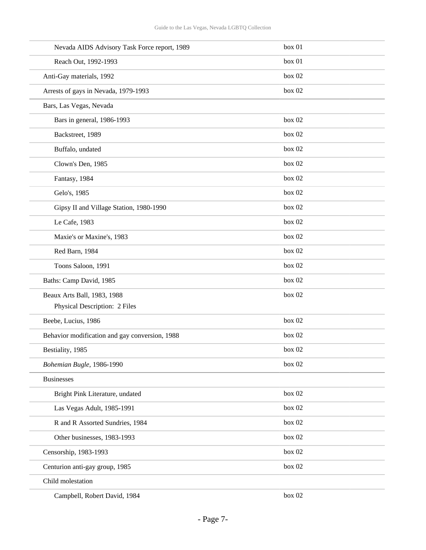| Nevada AIDS Advisory Task Force report, 1989   | box 01 |
|------------------------------------------------|--------|
| Reach Out, 1992-1993                           | box 01 |
| Anti-Gay materials, 1992                       | box 02 |
| Arrests of gays in Nevada, 1979-1993           | box 02 |
| Bars, Las Vegas, Nevada                        |        |
| Bars in general, 1986-1993                     | box 02 |
| Backstreet, 1989                               | box 02 |
| Buffalo, undated                               | box 02 |
| Clown's Den, 1985                              | box 02 |
| Fantasy, 1984                                  | box 02 |
| Gelo's, 1985                                   | box 02 |
| Gipsy II and Village Station, 1980-1990        | box 02 |
| Le Cafe, 1983                                  | box 02 |
| Maxie's or Maxine's, 1983                      | box 02 |
| Red Barn, 1984                                 | box 02 |
| Toons Saloon, 1991                             | box 02 |
| Baths: Camp David, 1985                        | box 02 |
| Beaux Arts Ball, 1983, 1988                    | box 02 |
| Physical Description: 2 Files                  |        |
| Beebe, Lucius, 1986                            | box 02 |
| Behavior modification and gay conversion, 1988 | box 02 |
| Bestiality, 1985                               | box 02 |
| Bohemian Bugle, 1986-1990                      | box 02 |
| <b>Businesses</b>                              |        |
| Bright Pink Literature, undated                | box 02 |
| Las Vegas Adult, 1985-1991                     | box 02 |
| R and R Assorted Sundries, 1984                | box 02 |
| Other businesses, 1983-1993                    | box 02 |
| Censorship, 1983-1993                          | box 02 |
| Centurion anti-gay group, 1985                 | box 02 |
| Child molestation                              |        |
|                                                |        |

Campbell, Robert David, 1984 box 02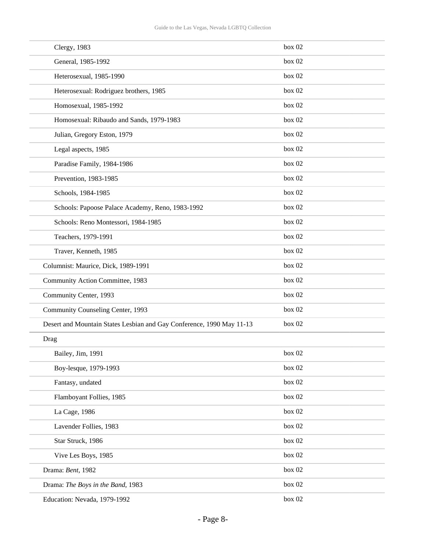| Clergy, 1983                                                          | box 02 |
|-----------------------------------------------------------------------|--------|
| General, 1985-1992                                                    | box 02 |
| Heterosexual, 1985-1990                                               | box 02 |
| Heterosexual: Rodriguez brothers, 1985                                | box 02 |
| Homosexual, 1985-1992                                                 | box 02 |
| Homosexual: Ribaudo and Sands, 1979-1983                              | box 02 |
| Julian, Gregory Eston, 1979                                           | box 02 |
| Legal aspects, 1985                                                   | box 02 |
| Paradise Family, 1984-1986                                            | box 02 |
| Prevention, 1983-1985                                                 | box 02 |
| Schools, 1984-1985                                                    | box 02 |
| Schools: Papoose Palace Academy, Reno, 1983-1992                      | box 02 |
| Schools: Reno Montessori, 1984-1985                                   | box 02 |
| Teachers, 1979-1991                                                   | box 02 |
| Traver, Kenneth, 1985                                                 | box 02 |
| Columnist: Maurice, Dick, 1989-1991                                   | box 02 |
| Community Action Committee, 1983                                      | box 02 |
| Community Center, 1993                                                | box 02 |
| Community Counseling Center, 1993                                     | box 02 |
| Desert and Mountain States Lesbian and Gay Conference, 1990 May 11-13 | box 02 |
| Drag                                                                  |        |
| Bailey, Jim, 1991                                                     | box 02 |
| Boy-lesque, 1979-1993                                                 | box 02 |
| Fantasy, undated                                                      | box 02 |
| Flamboyant Follies, 1985                                              | box 02 |
| La Cage, 1986                                                         | box 02 |
| Lavender Follies, 1983                                                | box 02 |
| Star Struck, 1986                                                     | box 02 |
| Vive Les Boys, 1985                                                   | box 02 |
| Drama: Bent, 1982                                                     | box 02 |
| Drama: The Boys in the Band, 1983                                     | box 02 |
| Education: Nevada, 1979-1992                                          | box 02 |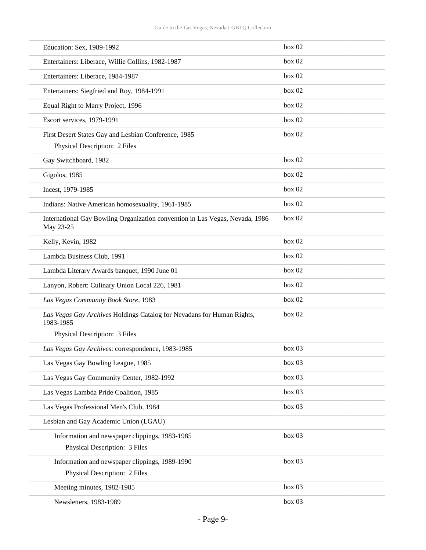| Education: Sex, 1989-1992                                                                 | box 02 |
|-------------------------------------------------------------------------------------------|--------|
| Entertainers: Liberace, Willie Collins, 1982-1987                                         | box 02 |
| Entertainers: Liberace, 1984-1987                                                         | box 02 |
| Entertainers: Siegfried and Roy, 1984-1991                                                | box 02 |
| Equal Right to Marry Project, 1996                                                        | box 02 |
| Escort services, 1979-1991                                                                | box 02 |
| First Desert States Gay and Lesbian Conference, 1985                                      | box 02 |
| Physical Description: 2 Files                                                             |        |
| Gay Switchboard, 1982                                                                     | box 02 |
| Gigolos, 1985                                                                             | box 02 |
| Incest, 1979-1985                                                                         | box 02 |
| Indians: Native American homosexuality, 1961-1985                                         | box 02 |
| International Gay Bowling Organization convention in Las Vegas, Nevada, 1986<br>May 23-25 | box 02 |
| Kelly, Kevin, 1982                                                                        | box 02 |
| Lambda Business Club, 1991                                                                | box 02 |
| Lambda Literary Awards banquet, 1990 June 01                                              | box 02 |
| Lanyon, Robert: Culinary Union Local 226, 1981                                            | box 02 |
| Las Vegas Community Book Store, 1983                                                      | box 02 |
| Las Vegas Gay Archives Holdings Catalog for Nevadans for Human Rights,<br>1983-1985       | box 02 |
| Physical Description: 3 Files                                                             |        |
| Las Vegas Gay Archives: correspondence, 1983-1985                                         | box 03 |
| Las Vegas Gay Bowling League, 1985                                                        | box 03 |
| Las Vegas Gay Community Center, 1982-1992                                                 | box 03 |
| Las Vegas Lambda Pride Coalition, 1985                                                    | box 03 |
| Las Vegas Professional Men's Club, 1984                                                   | box 03 |
| Lesbian and Gay Academic Union (LGAU)                                                     |        |
| Information and newspaper clippings, 1983-1985                                            | box 03 |
| Physical Description: 3 Files                                                             |        |
| Information and newspaper clippings, 1989-1990                                            | box 03 |
| Physical Description: 2 Files                                                             |        |
| Meeting minutes, 1982-1985                                                                | box 03 |
| Newsletters, 1983-1989                                                                    | box 03 |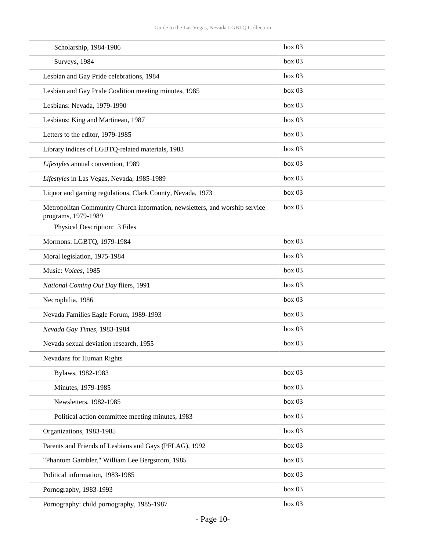| Scholarship, 1984-1986                                                                             | box 03 |
|----------------------------------------------------------------------------------------------------|--------|
| Surveys, 1984                                                                                      | box 03 |
| Lesbian and Gay Pride celebrations, 1984                                                           | box 03 |
| Lesbian and Gay Pride Coalition meeting minutes, 1985                                              | box 03 |
| Lesbians: Nevada, 1979-1990                                                                        | box 03 |
| Lesbians: King and Martineau, 1987                                                                 | box 03 |
| Letters to the editor, 1979-1985                                                                   | box 03 |
| Library indices of LGBTQ-related materials, 1983                                                   | box 03 |
| Lifestyles annual convention, 1989                                                                 | box 03 |
| Lifestyles in Las Vegas, Nevada, 1985-1989                                                         | box 03 |
| Liquor and gaming regulations, Clark County, Nevada, 1973                                          | box 03 |
| Metropolitan Community Church information, newsletters, and worship service<br>programs, 1979-1989 | box 03 |
| Physical Description: 3 Files                                                                      |        |
| Mormons: LGBTQ, 1979-1984                                                                          | box 03 |
| Moral legislation, 1975-1984                                                                       | box 03 |
| Music: Voices, 1985                                                                                | box 03 |
| National Coming Out Day fliers, 1991                                                               | box 03 |
| Necrophilia, 1986                                                                                  | box 03 |
| Nevada Families Eagle Forum, 1989-1993                                                             | box 03 |
| Nevada Gay Times, 1983-1984                                                                        | box 03 |
| Nevada sexual deviation research, 1955                                                             | box 03 |
| Nevadans for Human Rights                                                                          |        |
| Bylaws, 1982-1983                                                                                  | box 03 |
| Minutes, 1979-1985                                                                                 | box 03 |
| Newsletters, 1982-1985                                                                             | box 03 |
| Political action committee meeting minutes, 1983                                                   | box 03 |
| Organizations, 1983-1985                                                                           | box 03 |
| Parents and Friends of Lesbians and Gays (PFLAG), 1992                                             | box 03 |
| "Phantom Gambler," William Lee Bergstrom, 1985                                                     | box 03 |
| Political information, 1983-1985                                                                   | box 03 |
| Pornography, 1983-1993                                                                             | box 03 |
| Pornography: child pornography, 1985-1987                                                          | box 03 |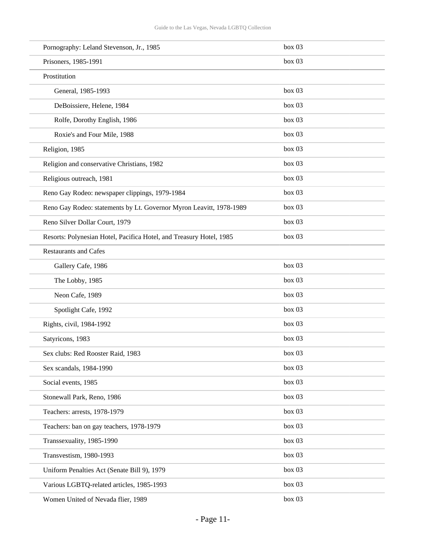| Pornography: Leland Stevenson, Jr., 1985                            | box 03 |
|---------------------------------------------------------------------|--------|
| Prisoners, 1985-1991                                                | box 03 |
| Prostitution                                                        |        |
| General, 1985-1993                                                  | box 03 |
| DeBoissiere, Helene, 1984                                           | box 03 |
| Rolfe, Dorothy English, 1986                                        | box 03 |
| Roxie's and Four Mile, 1988                                         | box 03 |
| Religion, 1985                                                      | box 03 |
| Religion and conservative Christians, 1982                          | box 03 |
| Religious outreach, 1981                                            | box~03 |
| Reno Gay Rodeo: newspaper clippings, 1979-1984                      | box 03 |
| Reno Gay Rodeo: statements by Lt. Governor Myron Leavitt, 1978-1989 | box 03 |
| Reno Silver Dollar Court, 1979                                      | box 03 |
| Resorts: Polynesian Hotel, Pacifica Hotel, and Treasury Hotel, 1985 | box 03 |
| <b>Restaurants and Cafes</b>                                        |        |
| Gallery Cafe, 1986                                                  | box 03 |
| The Lobby, 1985                                                     | box 03 |
| Neon Cafe, 1989                                                     | box 03 |
| Spotlight Cafe, 1992                                                | box 03 |
| Rights, civil, 1984-1992                                            | box 03 |
| Satyricons, 1983                                                    | box 03 |
| Sex clubs: Red Rooster Raid, 1983                                   | box 03 |
| Sex scandals, 1984-1990                                             | box 03 |
| Social events, 1985                                                 | box 03 |
| Stonewall Park, Reno, 1986                                          | box 03 |
| Teachers: arrests, 1978-1979                                        | box 03 |
| Teachers: ban on gay teachers, 1978-1979                            | box 03 |
| Transsexuality, 1985-1990                                           | box 03 |
| Transvestism, 1980-1993                                             | box 03 |
| Uniform Penalties Act (Senate Bill 9), 1979                         | box 03 |
| Various LGBTQ-related articles, 1985-1993                           | box 03 |
| Women United of Nevada flier, 1989                                  | box 03 |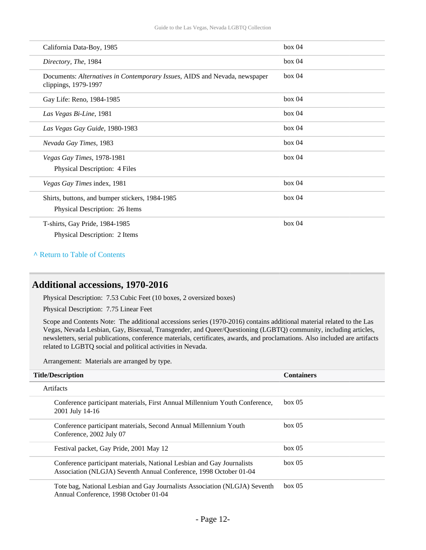| California Data-Boy, 1985                                                                          | box 04 |
|----------------------------------------------------------------------------------------------------|--------|
| Directory, The, 1984                                                                               | box~04 |
| Documents: Alternatives in Contemporary Issues, AIDS and Nevada, newspaper<br>clippings, 1979-1997 | box~04 |
| Gay Life: Reno, 1984-1985                                                                          | box 04 |
| Las Vegas Bi-Line, 1981                                                                            | box 04 |
| Las Vegas Gay Guide, 1980-1983                                                                     | box 04 |
| Nevada Gay Times, 1983                                                                             | box~04 |
| Vegas Gay Times, 1978-1981                                                                         | box~04 |
| Physical Description: 4 Files                                                                      |        |
| Vegas Gay Times index, 1981                                                                        | box 04 |
| Shirts, buttons, and bumper stickers, 1984-1985                                                    | box~04 |
| Physical Description: 26 Items                                                                     |        |
| T-shirts, Gay Pride, 1984-1985                                                                     | box 04 |
| Physical Description: 2 Items                                                                      |        |

#### **^** [Return to Table of Contents](#page-1-0)

#### <span id="page-11-0"></span>**Additional accessions, 1970-2016**

Physical Description: 7.53 Cubic Feet (10 boxes, 2 oversized boxes)

Physical Description: 7.75 Linear Feet

Scope and Contents Note: The additional accessions series (1970-2016) contains additional material related to the Las Vegas, Nevada Lesbian, Gay, Bisexual, Transgender, and Queer/Questioning (LGBTQ) community, including articles, newsletters, serial publications, conference materials, certificates, awards, and proclamations. Also included are artifacts related to LGBTQ social and political activities in Nevada.

Arrangement: Materials are arranged by type.

| <b>Title/Description</b>                                                                                                                    | <b>Containers</b> |  |
|---------------------------------------------------------------------------------------------------------------------------------------------|-------------------|--|
| Artifacts                                                                                                                                   |                   |  |
| Conference participant materials, First Annual Millennium Youth Conference,<br>2001 July 14-16                                              | box~05            |  |
| Conference participant materials, Second Annual Millennium Youth<br>Conference, 2002 July 07                                                | box~05            |  |
| Festival packet, Gay Pride, 2001 May 12                                                                                                     | box~05            |  |
| Conference participant materials, National Lesbian and Gay Journalists<br>Association (NLGJA) Seventh Annual Conference, 1998 October 01-04 | box~05            |  |
| Tote bag, National Lesbian and Gay Journalists Association (NLGJA) Seventh                                                                  | box~05            |  |

Annual Conference, 1998 October 01-04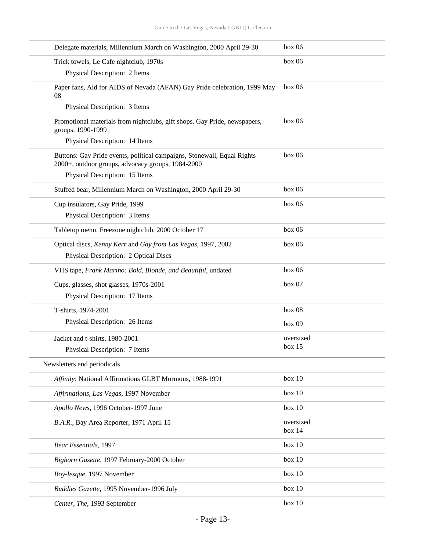| Delegate materials, Millennium March on Washington, 2000 April 29-30                                                         | box 06    |
|------------------------------------------------------------------------------------------------------------------------------|-----------|
| Trick towels, Le Cafe nightclub, 1970s                                                                                       | box 06    |
| Physical Description: 2 Items                                                                                                |           |
| Paper fans, Aid for AIDS of Nevada (AFAN) Gay Pride celebration, 1999 May<br>08                                              | box 06    |
| Physical Description: 3 Items                                                                                                |           |
| Promotional materials from nightclubs, gift shops, Gay Pride, newspapers,<br>groups, 1990-1999                               | box 06    |
| Physical Description: 14 Items                                                                                               |           |
| Buttons: Gay Pride events, political campaigns, Stonewall, Equal Rights<br>2000+, outdoor groups, advocacy groups, 1984-2000 | box 06    |
| Physical Description: 15 Items                                                                                               |           |
| Stuffed bear, Millennium March on Washington, 2000 April 29-30                                                               | box 06    |
| Cup insulators, Gay Pride, 1999                                                                                              | box 06    |
| Physical Description: 3 Items                                                                                                |           |
| Tabletop menu, Freezone nightclub, 2000 October 17                                                                           | box 06    |
| Optical discs, Kenny Kerr and Gay from Las Vegas, 1997, 2002                                                                 | box 06    |
| Physical Description: 2 Optical Discs                                                                                        |           |
| VHS tape, Frank Marino: Bold, Blonde, and Beautiful, undated                                                                 | box 06    |
| Cups, glasses, shot glasses, 1970s-2001                                                                                      | box 07    |
| Physical Description: 17 Items                                                                                               |           |
| T-shirts, 1974-2001                                                                                                          | box 08    |
| Physical Description: 26 Items                                                                                               | box 09    |
| Jacket and t-shirts, 1980-2001                                                                                               | oversized |
| Physical Description: 7 Items                                                                                                | box 15    |
| Newsletters and periodicals                                                                                                  |           |
| Affinity: National Affirmations GLBT Mormons, 1988-1991                                                                      | box 10    |
| Affirmations, Las Vegas, 1997 November                                                                                       | box 10    |
| Apollo News, 1996 October-1997 June                                                                                          | box 10    |
| B.A.R., Bay Area Reporter, 1971 April 15                                                                                     | oversized |
|                                                                                                                              | box 14    |
| Bear Essentials, 1997                                                                                                        | box 10    |
| Bighorn Gazette, 1997 February-2000 October                                                                                  | box 10    |
| Boy-lesque, 1997 November                                                                                                    | box 10    |
| Buddies Gazette, 1995 November-1996 July                                                                                     | box 10    |
| Center, The, 1993 September                                                                                                  | box 10    |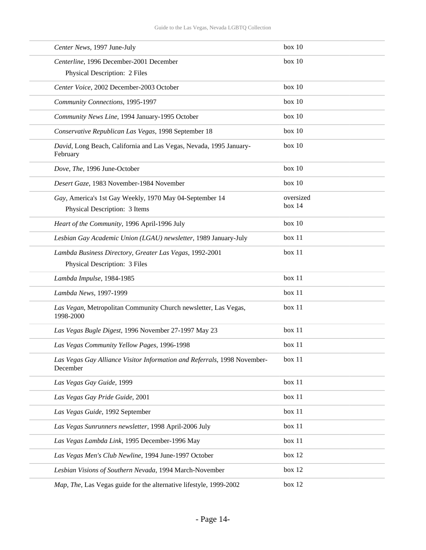| Center News, 1997 June-July                                                              | box 10    |
|------------------------------------------------------------------------------------------|-----------|
| Centerline, 1996 December-2001 December                                                  | box 10    |
| Physical Description: 2 Files                                                            |           |
| Center Voice, 2002 December-2003 October                                                 | box 10    |
| Community Connections, 1995-1997                                                         | box 10    |
| Community News Line, 1994 January-1995 October                                           | box 10    |
| Conservative Republican Las Vegas, 1998 September 18                                     | box 10    |
| David, Long Beach, California and Las Vegas, Nevada, 1995 January-<br>February           | box 10    |
| Dove, The, 1996 June-October                                                             | box 10    |
| Desert Gaze, 1983 November-1984 November                                                 | box 10    |
| Gay, America's 1st Gay Weekly, 1970 May 04-September 14                                  | oversized |
| Physical Description: 3 Items                                                            | box 14    |
| Heart of the Community, 1996 April-1996 July                                             | box 10    |
| Lesbian Gay Academic Union (LGAU) newsletter, 1989 January-July                          | box 11    |
| Lambda Business Directory, Greater Las Vegas, 1992-2001<br>Physical Description: 3 Files | box 11    |
| Lambda Impulse, 1984-1985                                                                | box 11    |
| Lambda News, 1997-1999                                                                   | box 11    |
| Las Vegan, Metropolitan Community Church newsletter, Las Vegas,<br>1998-2000             | box 11    |
| Las Vegas Bugle Digest, 1996 November 27-1997 May 23                                     | box 11    |
| Las Vegas Community Yellow Pages, 1996-1998                                              | box 11    |
| Las Vegas Gay Alliance Visitor Information and Referrals, 1998 November-<br>December     | box 11    |
| Las Vegas Gay Guide, 1999                                                                | box 11    |
| Las Vegas Gay Pride Guide, 2001                                                          | box 11    |
| Las Vegas Guide, 1992 September                                                          | box 11    |
| Las Vegas Sunrunners newsletter, 1998 April-2006 July                                    | box 11    |
| Las Vegas Lambda Link, 1995 December-1996 May                                            | box 11    |
| Las Vegas Men's Club Newline, 1994 June-1997 October                                     | box 12    |
| Lesbian Visions of Southern Nevada, 1994 March-November                                  | box 12    |
| Map, The, Las Vegas guide for the alternative lifestyle, 1999-2002                       | box 12    |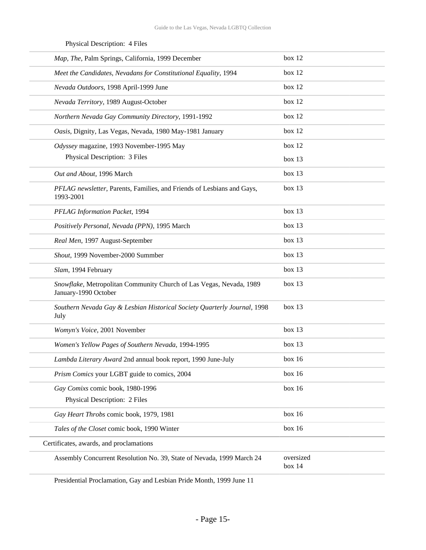| Map, The, Palm Springs, California, 1999 December                                           | box 12              |
|---------------------------------------------------------------------------------------------|---------------------|
| Meet the Candidates, Nevadans for Constitutional Equality, 1994                             | box 12              |
| Nevada Outdoors, 1998 April-1999 June                                                       | box 12              |
| Nevada Territory, 1989 August-October                                                       | box 12              |
| Northern Nevada Gay Community Directory, 1991-1992                                          | box 12              |
| Oasis, Dignity, Las Vegas, Nevada, 1980 May-1981 January                                    | box 12              |
| Odyssey magazine, 1993 November-1995 May                                                    | box 12              |
| Physical Description: 3 Files                                                               | box 13              |
| Out and About, 1996 March                                                                   | box 13              |
| PFLAG newsletter, Parents, Families, and Friends of Lesbians and Gays,<br>1993-2001         | box 13              |
| PFLAG Information Packet, 1994                                                              | box 13              |
| Positively Personal, Nevada (PPN), 1995 March                                               | box 13              |
| Real Men, 1997 August-September                                                             | box 13              |
| Shout, 1999 November-2000 Summber                                                           | box 13              |
| Slam, 1994 February                                                                         | box 13              |
| Snowflake, Metropolitan Community Church of Las Vegas, Nevada, 1989<br>January-1990 October | box 13              |
| Southern Nevada Gay & Lesbian Historical Society Quarterly Journal, 1998<br>July            | box 13              |
| Womyn's Voice, 2001 November                                                                | box 13              |
| Women's Yellow Pages of Southern Nevada, 1994-1995                                          | box 13              |
| Lambda Literary Award 2nd annual book report, 1990 June-July                                | box 16              |
| Prism Comics your LGBT guide to comics, 2004                                                | box 16              |
| Gay Comixs comic book, 1980-1996                                                            | box 16              |
| Physical Description: 2 Files                                                               |                     |
| Gay Heart Throbs comic book, 1979, 1981                                                     | box 16              |
| Tales of the Closet comic book, 1990 Winter                                                 | box 16              |
| Certificates, awards, and proclamations                                                     |                     |
| Assembly Concurrent Resolution No. 39, State of Nevada, 1999 March 24                       | oversized<br>box 14 |
|                                                                                             |                     |

#### Physical Description: 4 Files

Presidential Proclamation, Gay and Lesbian Pride Month, 1999 June 11